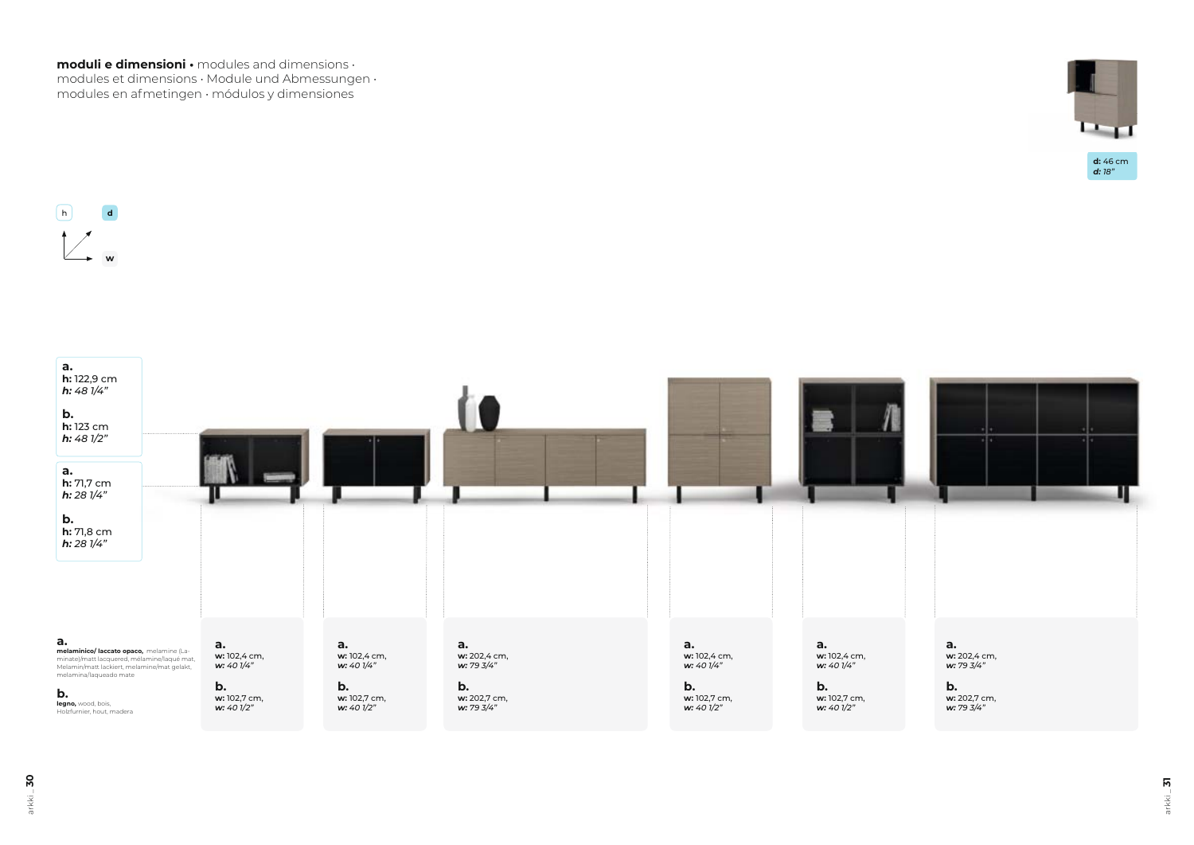$arkki = 30$ arkki \_ **30**



**moduli e dimensioni •** modules and dimensions • modules et dimensions • Module und Abmessungen • modules en afmetingen • módulos y dimensiones

arkki \_ **31**



*d: 18"*